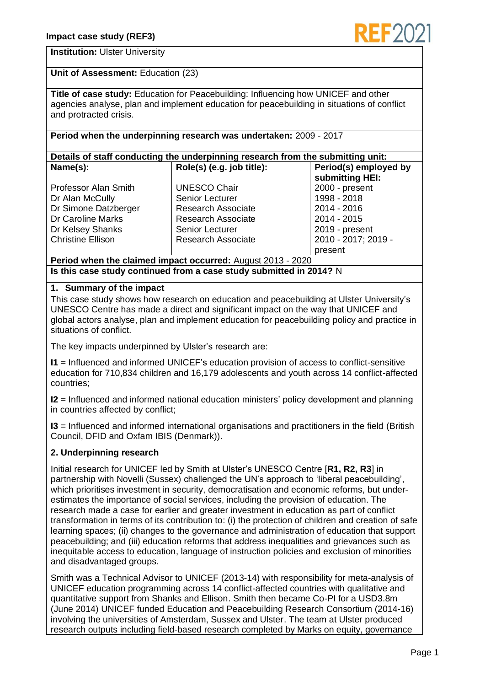

### **Institution:** Ulster University

# **Unit of Assessment:** Education (23)

**Title of case study:** Education for Peacebuilding: Influencing how UNICEF and other agencies analyse, plan and implement education for peacebuilding in situations of conflict and protracted crisis.

# **Period when the underpinning research was undertaken:** 2009 - 2017

| Details of staff conducting the underpinning research from the submitting unit: |                           |                       |  |
|---------------------------------------------------------------------------------|---------------------------|-----------------------|--|
| Name(s):                                                                        | Role(s) (e.g. job title): | Period(s) employed by |  |

|                             |                           | submitting HEI:     |
|-----------------------------|---------------------------|---------------------|
| <b>Professor Alan Smith</b> | <b>UNESCO Chair</b>       | 2000 - present      |
| Dr Alan McCully             | <b>Senior Lecturer</b>    | 1998 - 2018         |
| Dr Simone Datzberger        | <b>Research Associate</b> | 2014 - 2016         |
| Dr Caroline Marks           | <b>Research Associate</b> | 2014 - 2015         |
| Dr Kelsey Shanks            | <b>Senior Lecturer</b>    | 2019 - present      |
| <b>Christine Ellison</b>    | <b>Research Associate</b> | 2010 - 2017; 2019 - |
|                             |                           | present             |

**Period when the claimed impact occurred:** August 2013 - 2020 **Is this case study continued from a case study submitted in 2014?** N

### **1. Summary of the impact**

This case study shows how research on education and peacebuilding at Ulster University's UNESCO Centre has made a direct and significant impact on the way that UNICEF and global actors analyse, plan and implement education for peacebuilding policy and practice in situations of conflict.

The key impacts underpinned by Ulster's research are:

**I1** = Influenced and informed UNICEF's education provision of access to conflict-sensitive education for 710,834 children and 16,179 adolescents and youth across 14 conflict-affected countries;

**I2** = Influenced and informed national education ministers' policy development and planning in countries affected by conflict;

**I3** = Influenced and informed international organisations and practitioners in the field (British Council, DFID and Oxfam IBIS (Denmark)).

# **2. Underpinning research**

Initial research for UNICEF led by Smith at Ulster's UNESCO Centre [**R1, R2, R3**] in partnership with Novelli (Sussex) challenged the UN's approach to 'liberal peacebuilding', which prioritises investment in security, democratisation and economic reforms, but underestimates the importance of social services, including the provision of education. The research made a case for earlier and greater investment in education as part of conflict transformation in terms of its contribution to: (i) the protection of children and creation of safe learning spaces; (ii) changes to the governance and administration of education that support peacebuilding; and (iii) education reforms that address inequalities and grievances such as inequitable access to education, language of instruction policies and exclusion of minorities and disadvantaged groups.

Smith was a Technical Advisor to UNICEF (2013-14) with responsibility for meta-analysis of UNICEF education programming across 14 conflict-affected countries with qualitative and quantitative support from Shanks and Ellison. Smith then became Co-PI for a USD3.8m (June 2014) UNICEF funded Education and Peacebuilding Research Consortium (2014-16) involving the universities of Amsterdam, Sussex and Ulster. The team at Ulster produced research outputs including field-based research completed by Marks on equity, governance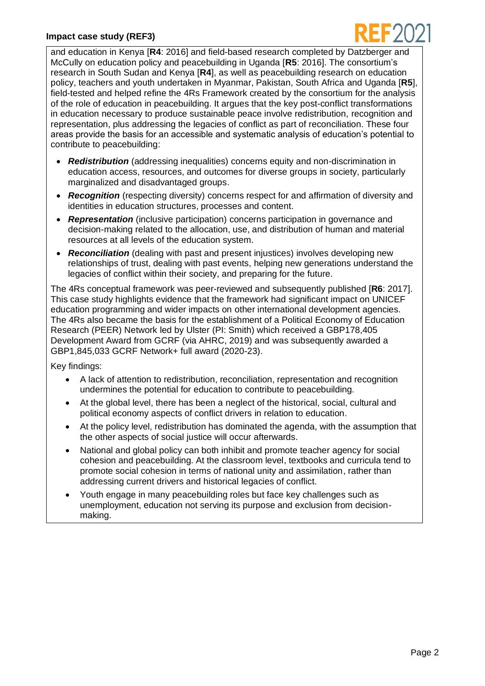### **Impact case study (REF3)**



and education in Kenya [**R4**: 2016] and field-based research completed by Datzberger and McCully on education policy and peacebuilding in Uganda [**R5**: 2016]. The consortium's research in South Sudan and Kenya [**R4**], as well as peacebuilding research on education policy, teachers and youth undertaken in Myanmar, Pakistan, South Africa and Uganda [**R5**], field-tested and helped refine the 4Rs Framework created by the consortium for the analysis of the role of education in peacebuilding. It argues that the key post-conflict transformations in education necessary to produce sustainable peace involve redistribution, recognition and representation, plus addressing the legacies of conflict as part of reconciliation. These four areas provide the basis for an accessible and systematic analysis of education's potential to contribute to peacebuilding:

- *Redistribution* (addressing inequalities) concerns equity and non-discrimination in education access, resources, and outcomes for diverse groups in society, particularly marginalized and disadvantaged groups.
- *Recognition* (respecting diversity) concerns respect for and affirmation of diversity and identities in education structures, processes and content.
- *Representation* (inclusive participation) concerns participation in governance and decision-making related to the allocation, use, and distribution of human and material resources at all levels of the education system.
- *Reconciliation* (dealing with past and present injustices) involves developing new relationships of trust, dealing with past events, helping new generations understand the legacies of conflict within their society, and preparing for the future.

The 4Rs conceptual framework was peer-reviewed and subsequently published [**R6**: 2017]. This case study highlights evidence that the framework had significant impact on UNICEF education programming and wider impacts on other international development agencies. The 4Rs also became the basis for the establishment of a Political Economy of Education Research (PEER) Network led by Ulster (PI: Smith) which received a GBP178,405 Development Award from GCRF (via AHRC, 2019) and was subsequently awarded a GBP1,845,033 GCRF Network+ full award (2020-23).

Key findings:

- A lack of attention to redistribution, reconciliation, representation and recognition undermines the potential for education to contribute to peacebuilding.
- At the global level, there has been a neglect of the historical, social, cultural and political economy aspects of conflict drivers in relation to education.
- At the policy level, redistribution has dominated the agenda, with the assumption that the other aspects of social justice will occur afterwards.
- National and global policy can both inhibit and promote teacher agency for social cohesion and peacebuilding. At the classroom level, textbooks and curricula tend to promote social cohesion in terms of national unity and assimilation, rather than addressing current drivers and historical legacies of conflict.
- Youth engage in many peacebuilding roles but face key challenges such as unemployment, education not serving its purpose and exclusion from decisionmaking.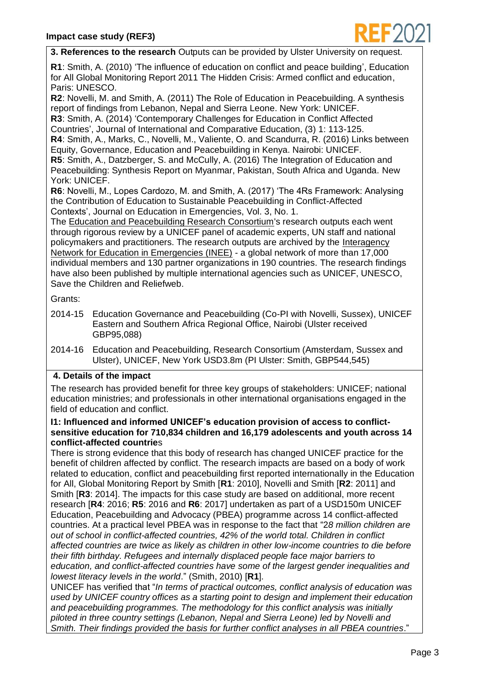

**3. References to the research** Outputs can be provided by Ulster University on request.

**R1**: Smith, A. (2010) 'The influence of education on conflict and peace building', Education for All Global Monitoring Report 2011 The Hidden Crisis: Armed conflict and education, Paris: UNESCO.

**R2**: Novelli, M. and Smith, A. (2011) The Role of Education in Peacebuilding. A synthesis report of findings from Lebanon, Nepal and Sierra Leone. New York: UNICEF.

**R3**: Smith, A. (2014) 'Contemporary Challenges for Education in Conflict Affected Countries', Journal of International and Comparative Education, (3) 1: 113-125.

**R4**: Smith, A., Marks, C., Novelli, M., Valiente, O. and Scandurra, R. (2016) Links between Equity, Governance, Education and Peacebuilding in Kenya. Nairobi: UNICEF.

**R5**: Smith, A., Datzberger, S. and McCully, A. (2016) The Integration of Education and Peacebuilding: Synthesis Report on Myanmar, Pakistan, South Africa and Uganda. New York: UNICEF.

**R6**: Novelli, M., Lopes Cardozo, M. and Smith, A. (2017) 'The 4Rs Framework: Analysing the Contribution of Education to Sustainable Peacebuilding in Conflict-Affected Contexts', Journal on Education in Emergencies, Vol. 3, No. 1.

The [Education and Peacebuilding Research Consortium's](https://www.ulster.ac.uk/research/topic/education/unesco-centre/research/education-and-peacebuilding) research outputs each went through rigorous review by a UNICEF panel of academic experts, UN staff and national policymakers and practitioners. The research outputs are archived by the [Interagency](https://inee.org/collections/learning-peace)  [Network for Education in Emergencies \(INEE\)](https://inee.org/collections/learning-peace) - a global network of more than 17,000 individual members and 130 partner organizations in 190 countries. The research findings have also been published by multiple international agencies such as UNICEF, UNESCO, Save the Children and Reliefweb.

Grants:

- 2014-15 Education Governance and Peacebuilding (Co-PI with Novelli, Sussex), UNICEF Eastern and Southern Africa Regional Office, Nairobi (Ulster received GBP95,088)
- 2014-16 Education and Peacebuilding, Research Consortium (Amsterdam, Sussex and Ulster), UNICEF, New York USD3.8m (PI Ulster: Smith, GBP544,545)

# **4. Details of the impact**

The research has provided benefit for three key groups of stakeholders: UNICEF; national education ministries; and professionals in other international organisations engaged in the field of education and conflict.

#### **I1: Influenced and informed UNICEF's education provision of access to conflictsensitive education for 710,834 children and 16,179 adolescents and youth across 14 conflict-affected countrie**s

There is strong evidence that this body of research has changed UNICEF practice for the benefit of children affected by conflict. The research impacts are based on a body of work related to education, conflict and peacebuilding first reported internationally in the Education for All, Global Monitoring Report by Smith [**R1**: 2010], Novelli and Smith [**R2**: 2011] and Smith [**R3**: 2014]. The impacts for this case study are based on additional, more recent research [**R4**: 2016; **R5**: 2016 and **R6**: 2017] undertaken as part of a USD150m UNICEF Education, Peacebuilding and Advocacy (PBEA) programme across 14 conflict-affected countries. At a practical level PBEA was in response to the fact that "2*8 million children are out of school in conflict-affected countries, 42% of the world total. Children in conflict affected countries are twice as likely as children in other low-income countries to die before their fifth birthday. Refugees and internally displaced people face major barriers to education, and conflict-affected countries have some of the largest gender inequalities and lowest literacy levels in the world*." (Smith, 2010) [**R1**].

UNICEF has verified that "*In terms of practical outcomes, conflict analysis of education was used by UNICEF country offices as a starting point to design and implement their education and peacebuilding programmes. The methodology for this conflict analysis was initially piloted in three country settings (Lebanon, Nepal and Sierra Leone) led by Novelli and Smith. Their findings provided the basis for further conflict analyses in all PBEA countries*."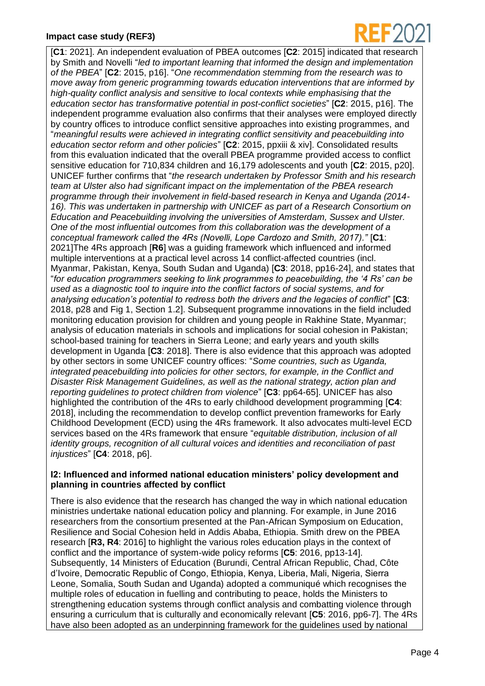### **Impact case study (REF3)**



[**C1**: 2021]. An independent evaluation of PBEA outcomes [**C2**: 2015] indicated that research by Smith and Novelli "*led to important learning that informed the design and implementation of the PBEA*" [**C2**: 2015, p16]. "*One recommendation stemming from the research was to move away from generic programming towards education interventions that are informed by high-quality conflict analysis and sensitive to local contexts while emphasising that the education sector has transformative potential in post-conflict societies*" [**C2**: 2015, p16]. The independent programme evaluation also confirms that their analyses were employed directly by country offices to introduce conflict sensitive approaches into existing programmes, and "*meaningful results were achieved in integrating conflict sensitivity and peacebuilding into education sector reform and other policies*" [**C2**: 2015, ppxiii & xiv]. Consolidated results from this evaluation indicated that the overall PBEA programme provided access to conflict sensitive education for 710,834 children and 16,179 adolescents and youth [**C2**: 2015, p20]. UNICEF further confirms that "*the research undertaken by Professor Smith and his research team at Ulster also had significant impact on the implementation of the PBEA research programme through their involvement in field-based research in Kenya and Uganda (2014- 16). This was undertaken in partnership with UNICEF as part of a Research Consortium on Education and Peacebuilding involving the universities of Amsterdam, Sussex and Ulster. One of the most influential outcomes from this collaboration was the development of a conceptual framework called the 4Rs (Novelli, Lope Cardozo and Smith, 2017)."* [**C1**: 2021]The 4Rs approach [**R6**] was a guiding framework which influenced and informed multiple interventions at a practical level across 14 conflict-affected countries (incl. Myanmar, Pakistan, Kenya, South Sudan and Uganda) [**C3**: 2018, pp16-24], and states that "*for education programmers seeking to link programmes to peacebuilding, the '4 Rs' can be used as a diagnostic tool to inquire into the conflict factors of social systems, and for analysing education's potential to redress both the drivers and the legacies of conflict*" [**C3**: 2018, p28 and Fig 1, Section 1.2]. Subsequent programme innovations in the field included monitoring education provision for children and young people in Rakhine State, Myanmar; analysis of education materials in schools and implications for social cohesion in Pakistan; school-based training for teachers in Sierra Leone; and early years and youth skills development in Uganda [**C3**: 2018]. There is also evidence that this approach was adopted by other sectors in some UNICEF country offices: "*Some countries, such as Uganda, integrated peacebuilding into policies for other sectors, for example, in the Conflict and Disaster Risk Management Guidelines, as well as the national strategy, action plan and reporting guidelines to protect children from violence*" [**C3**: pp64-65]. UNICEF has also highlighted the contribution of the 4Rs to early childhood development programming [**C4**: 2018], including the recommendation to develop conflict prevention frameworks for Early Childhood Development (ECD) using the 4Rs framework. It also advocates multi-level ECD services based on the 4Rs framework that ensure "*equitable distribution, inclusion of all identity groups, recognition of all cultural voices and identities and reconciliation of past injustices*" [**C4**: 2018, p6].

# **I2: Influenced and informed national education ministers' policy development and planning in countries affected by conflict**

There is also evidence that the research has changed the way in which national education ministries undertake national education policy and planning. For example, in June 2016 researchers from the consortium presented at the Pan-African Symposium on Education, Resilience and Social Cohesion held in Addis Ababa, Ethiopia. Smith drew on the PBEA research [**R3, R4**: 2016] to highlight the various roles education plays in the context of conflict and the importance of system-wide policy reforms [**C5**: 2016, pp13-14]. Subsequently, 14 Ministers of Education (Burundi, Central African Republic, Chad, Côte d'Ivoire, Democratic Republic of Congo, Ethiopia, Kenya, Liberia, Mali, Nigeria, Sierra Leone, Somalia, South Sudan and Uganda) adopted a communiqué which recognises the multiple roles of education in fuelling and contributing to peace, holds the Ministers to strengthening education systems through conflict analysis and combatting violence through ensuring a curriculum that is culturally and economically relevant [**C5**: 2016, pp6-7]. The 4Rs have also been adopted as an underpinning framework for the guidelines used by national